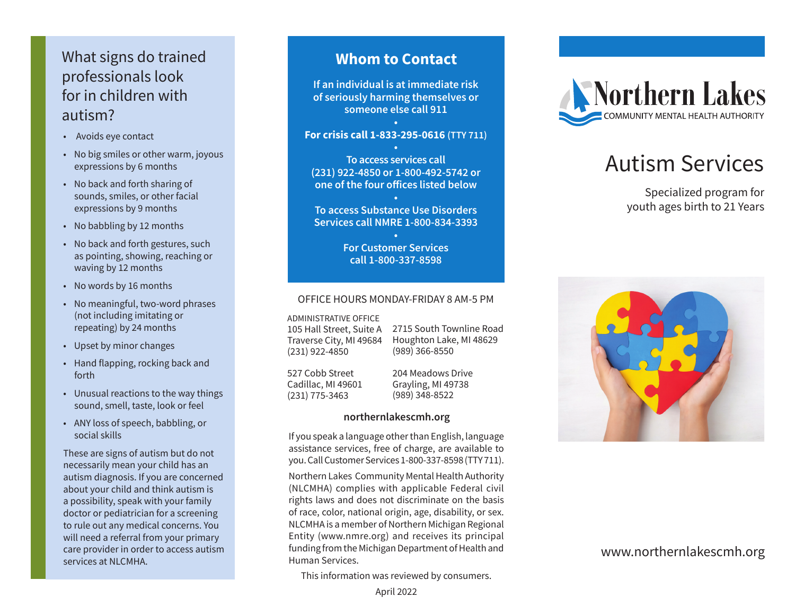## What signs do trained professionals look for in children with autism?

- Avoids eye contact
- No big smiles or other warm, joyous expressions by 6 months
- No back and forth sharing of sounds, smiles, or other facial expressions by 9 months
- No babbling by 12 months
- No back and forth gestures, such as pointing, showing, reaching or waving by 12 months
- No words by 16 months
- No meaningful, two-word phrases (not including imitating or repeating) by 24 months
- Upset by minor changes
- Hand flapping, rocking back and forth
- Unusual reactions to the way things sound, smell, taste, look or feel
- ANY loss of speech, babbling, or social skills

These are signs of autism but do not necessarily mean your child has an autism diagnosis. If you are concerned about your child and think autism is a possibility, speak with your family doctor or pediatrician for a screening to rule out any medical concerns. You will need a referral from your primary care provider in order to access autism services at NLCMHA.

### **Whom to Contact**

**If an individual is at immediate risk of seriously harming themselves or someone else call 911**

#### **• For crisis call 1-833-295-0616 (TTY 711)**

**• To access services call (231) 922-4850 or 1-800-492-5742 or one of the four offices listed below**

**• To access Substance Use Disorders Services call NMRE 1-800-834-3393**

> **• For Customer Services call 1-800-337-8598**

#### OFFICE HOURS MONDAY-FRIDAY 8 AM-5 PM

ADMINISTRATIVE OFFICE

105 Hall Street, Suite A Traverse City, MI 49684 (231) 922-4850

2715 South Townline Road Houghton Lake, MI 48629 (989) 366-8550

527 Cobb Street Cadillac, MI 49601 (231) 775-3463

204 Meadows Drive Grayling, MI 49738 (989) 348-8522

#### **northernlakescmh.org**

If you speak a language other than English, language assistance services, free of charge, are available to you. Call Customer Services 1-800-337-8598 (TTY 711).

Northern Lakes Community Mental Health Authority (NLCMHA) complies with applicable Federal civil rights laws and does not discriminate on the basis of race, color, national origin, age, disability, or sex. NLCMHA is a member of Northern Michigan Regional Entity (www.nmre.org) and receives its principal funding from the Michigan Department of Health and Human Services.

This information was reviewed by consumers.



# Autism Services

Specialized program for youth ages birth to 21 Years



#### www.northernlakescmh.org